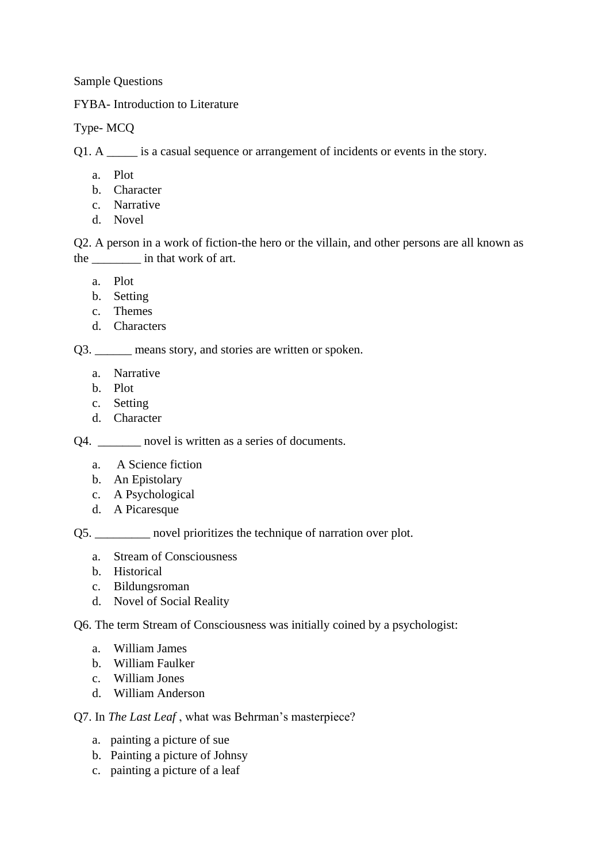Sample Questions

FYBA- Introduction to Literature

Type- MCQ

Q1. A \_\_\_\_\_ is a casual sequence or arrangement of incidents or events in the story.

- a. Plot
- b. Character
- c. Narrative
- d. Novel

Q2. A person in a work of fiction-the hero or the villain, and other persons are all known as the  $\frac{1}{2}$  in that work of art.

a. Plot

- b. Setting
- c. Themes
- d. Characters

Q3. \_\_\_\_\_\_ means story, and stories are written or spoken.

- a. Narrative
- b. Plot
- c. Setting
- d. Character

Q4. \_\_\_\_\_\_\_ novel is written as a series of documents.

- a. A Science fiction
- b. An Epistolary
- c. A Psychological
- d. A Picaresque

Q5. \_\_\_\_\_\_\_\_\_ novel prioritizes the technique of narration over plot.

- a. Stream of Consciousness
- b. Historical
- c. Bildungsroman
- d. Novel of Social Reality

Q6. The term Stream of Consciousness was initially coined by a psychologist:

- a. William James
- b. William Faulker
- c. William Jones
- d. William Anderson

Q7. In *The Last Leaf* , what was Behrman's masterpiece?

- a. painting a picture of sue
- b. Painting a picture of Johnsy
- c. painting a picture of a leaf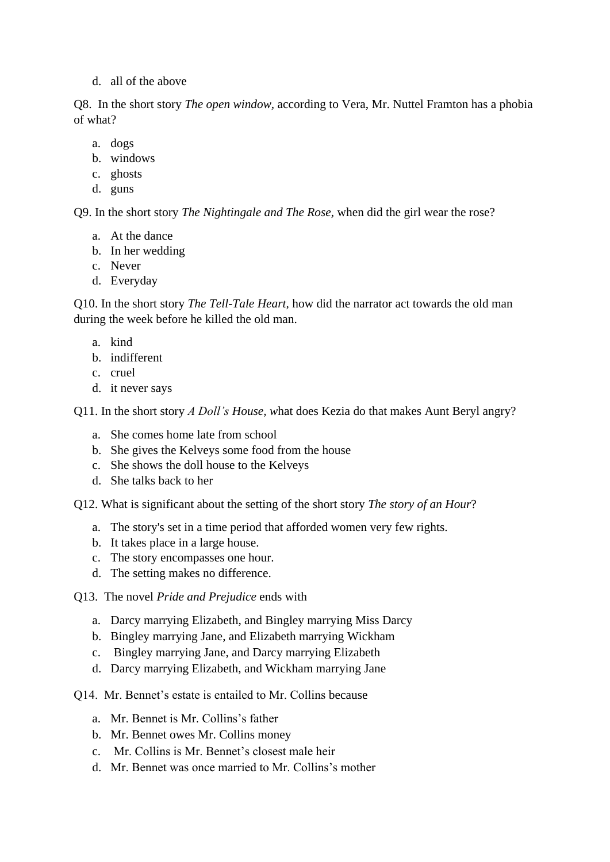d. all of the above

Q8. In the short story *The open window,* according to Vera, Mr. Nuttel Framton has a phobia of what?

- a. dogs
- b. windows
- c. ghosts
- d. guns

Q9. In the short story *The Nightingale and The Rose,* when did the girl wear the rose?

- a. At the dance
- b. In her wedding
- c. Never
- d. Everyday

Q10. In the short story *The Tell-Tale Heart,* how did the narrator act towards the old man during the week before he killed the old man.

- a. kind
- b. indifferent
- c. cruel
- d. it never says

Q11. In the short story *A Doll's House, w*hat does Kezia do that makes Aunt Beryl angry?

- a. She comes home late from school
- b. She gives the Kelveys some food from the house
- c. She shows the doll house to the Kelveys
- d. She talks back to her

Q12. What is significant about the setting of the short story *The story of an Hour*?

- a. The story's set in a time period that afforded women very few rights.
- b. It takes place in a large house.
- c. The story encompasses one hour.
- d. The setting makes no difference.
- Q13. The novel *Pride and Prejudice* ends with
	- a. Darcy marrying Elizabeth, and Bingley marrying Miss Darcy
	- b. Bingley marrying Jane, and Elizabeth marrying Wickham
	- c. Bingley marrying Jane, and Darcy marrying Elizabeth
	- d. Darcy marrying Elizabeth, and Wickham marrying Jane
- Q14. Mr. Bennet's estate is entailed to Mr. Collins because
	- a. Mr. Bennet is Mr. Collins's father
	- b. Mr. Bennet owes Mr. Collins money
	- c. Mr. Collins is Mr. Bennet's closest male heir
	- d. Mr. Bennet was once married to Mr. Collins's mother